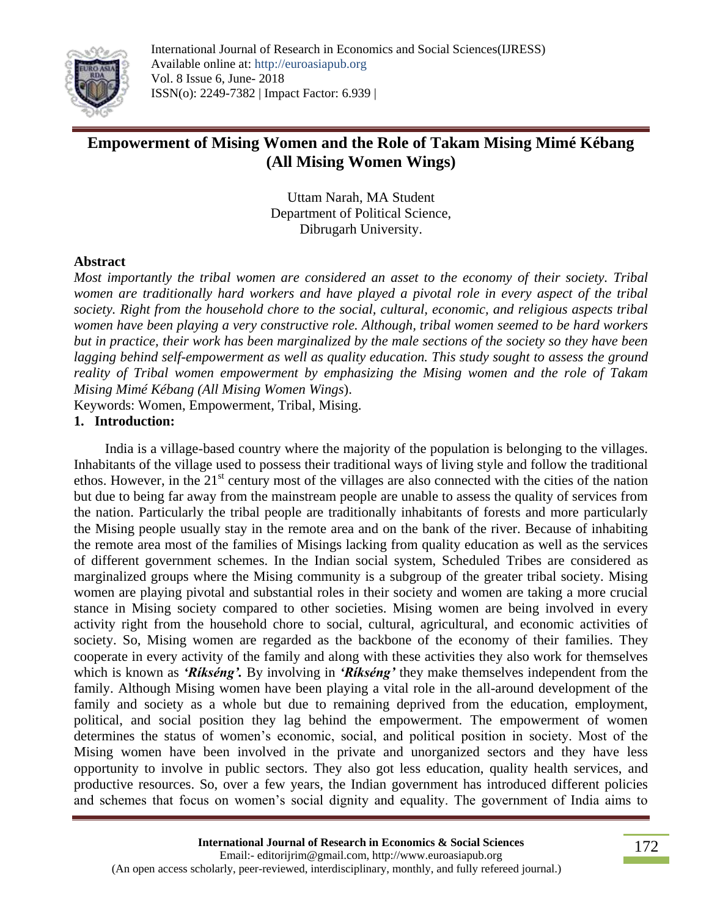

# **Empowerment of Mising Women and the Role of Takam Mising Mimé Kébang (All Mising Women Wings)**

Uttam Narah, MA Student Department of Political Science, Dibrugarh University.

### **Abstract**

*Most importantly the tribal women are considered an asset to the economy of their society. Tribal women are traditionally hard workers and have played a pivotal role in every aspect of the tribal society. Right from the household chore to the social, cultural, economic, and religious aspects tribal women have been playing a very constructive role. Although, tribal women seemed to be hard workers but in practice, their work has been marginalized by the male sections of the society so they have been lagging behind self-empowerment as well as quality education. This study sought to assess the ground reality of Tribal women empowerment by emphasizing the Mising women and the role of Takam Mising Mimé Kébang (All Mising Women Wings*).

Keywords: Women, Empowerment, Tribal, Mising.

#### **1. Introduction:**

 India is a village-based country where the majority of the population is belonging to the villages. Inhabitants of the village used to possess their traditional ways of living style and follow the traditional ethos. However, in the  $21<sup>st</sup>$  century most of the villages are also connected with the cities of the nation but due to being far away from the mainstream people are unable to assess the quality of services from the nation. Particularly the tribal people are traditionally inhabitants of forests and more particularly the Mising people usually stay in the remote area and on the bank of the river. Because of inhabiting the remote area most of the families of Misings lacking from quality education as well as the services of different government schemes. In the Indian social system, Scheduled Tribes are considered as marginalized groups where the Mising community is a subgroup of the greater tribal society. Mising women are playing pivotal and substantial roles in their society and women are taking a more crucial stance in Mising society compared to other societies. Mising women are being involved in every activity right from the household chore to social, cultural, agricultural, and economic activities of society. So, Mising women are regarded as the backbone of the economy of their families. They cooperate in every activity of the family and along with these activities they also work for themselves which is known as *'Ríkséng'.* By involving in *'Ríkséng'* they make themselves independent from the family. Although Mising women have been playing a vital role in the all-around development of the family and society as a whole but due to remaining deprived from the education, employment, political, and social position they lag behind the empowerment. The empowerment of women determines the status of women's economic, social, and political position in society. Most of the Mising women have been involved in the private and unorganized sectors and they have less opportunity to involve in public sectors. They also got less education, quality health services, and productive resources. So, over a few years, the Indian government has introduced different policies and schemes that focus on women's social dignity and equality. The government of India aims to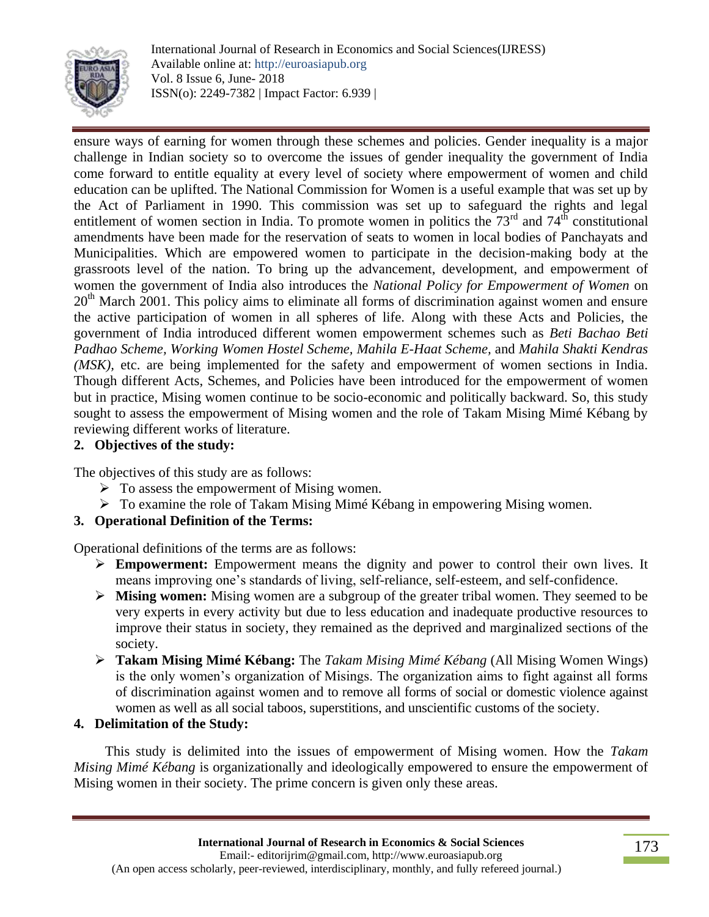

ensure ways of earning for women through these schemes and policies. Gender inequality is a major challenge in Indian society so to overcome the issues of gender inequality the government of India come forward to entitle equality at every level of society where empowerment of women and child education can be uplifted. The National Commission for Women is a useful example that was set up by the Act of Parliament in 1990. This commission was set up to safeguard the rights and legal entitlement of women section in India. To promote women in politics the  $73<sup>rd</sup>$  and  $74<sup>th</sup>$  constitutional amendments have been made for the reservation of seats to women in local bodies of Panchayats and Municipalities. Which are empowered women to participate in the decision-making body at the grassroots level of the nation. To bring up the advancement, development, and empowerment of women the government of India also introduces the *National Policy for Empowerment of Women* on  $20<sup>th</sup>$  March 2001. This policy aims to eliminate all forms of discrimination against women and ensure the active participation of women in all spheres of life. Along with these Acts and Policies, the government of India introduced different women empowerment schemes such as *Beti Bachao Beti Padhao Scheme, Working Women Hostel Scheme, Mahila E-Haat Scheme,* and *Mahila Shakti Kendras (MSK),* etc. are being implemented for the safety and empowerment of women sections in India. Though different Acts, Schemes, and Policies have been introduced for the empowerment of women but in practice, Mising women continue to be socio-economic and politically backward. So, this study sought to assess the empowerment of Mising women and the role of Takam Mising Mimé Kébang by reviewing different works of literature.

## **2. Objectives of the study:**

The objectives of this study are as follows:

- $\triangleright$  To assess the empowerment of Mising women.
- To examine the role of Takam Mising Mimé Kébang in empowering Mising women.

### **3. Operational Definition of the Terms:**

Operational definitions of the terms are as follows:

- **Empowerment:** Empowerment means the dignity and power to control their own lives. It means improving one's standards of living, self-reliance, self-esteem, and self-confidence.
- **Mising women:** Mising women are a subgroup of the greater tribal women. They seemed to be very experts in every activity but due to less education and inadequate productive resources to improve their status in society, they remained as the deprived and marginalized sections of the society.
- **Takam Mising Mimé Kébang:** The *Takam Mising Mimé Kébang* (All Mising Women Wings) is the only women's organization of Misings. The organization aims to fight against all forms of discrimination against women and to remove all forms of social or domestic violence against women as well as all social taboos, superstitions, and unscientific customs of the society.

### **4. Delimitation of the Study:**

 This study is delimited into the issues of empowerment of Mising women. How the *Takam Mising Mimé Kébang* is organizationally and ideologically empowered to ensure the empowerment of Mising women in their society. The prime concern is given only these areas.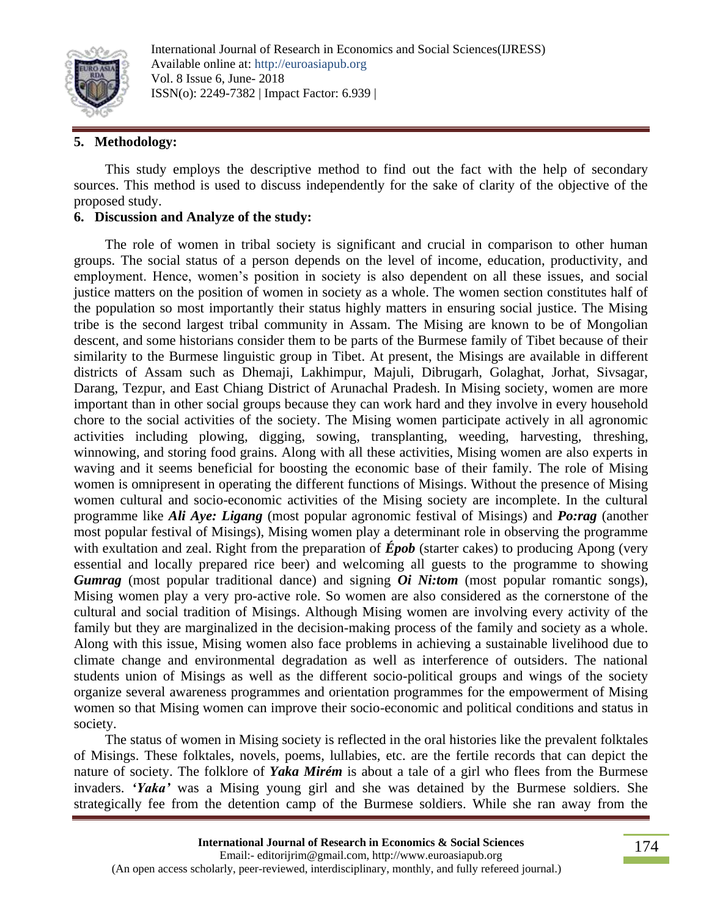

## **5. Methodology:**

 This study employs the descriptive method to find out the fact with the help of secondary sources. This method is used to discuss independently for the sake of clarity of the objective of the proposed study.

#### **6. Discussion and Analyze of the study:**

 The role of women in tribal society is significant and crucial in comparison to other human groups. The social status of a person depends on the level of income, education, productivity, and employment. Hence, women's position in society is also dependent on all these issues, and social justice matters on the position of women in society as a whole. The women section constitutes half of the population so most importantly their status highly matters in ensuring social justice. The Mising tribe is the second largest tribal community in Assam. The Mising are known to be of Mongolian descent, and some historians consider them to be parts of the Burmese family of Tibet because of their similarity to the Burmese linguistic group in Tibet. At present, the Misings are available in different districts of Assam such as Dhemaji, Lakhimpur, Majuli, Dibrugarh, Golaghat, Jorhat, Sivsagar, Darang, Tezpur, and East Chiang District of Arunachal Pradesh. In Mising society, women are more important than in other social groups because they can work hard and they involve in every household chore to the social activities of the society. The Mising women participate actively in all agronomic activities including plowing, digging, sowing, transplanting, weeding, harvesting, threshing, winnowing, and storing food grains. Along with all these activities, Mising women are also experts in waving and it seems beneficial for boosting the economic base of their family. The role of Mising women is omnipresent in operating the different functions of Misings. Without the presence of Mising women cultural and socio-economic activities of the Mising society are incomplete. In the cultural programme like *Ali Aye: Ligang* (most popular agronomic festival of Misings) and *Po:rag* (another most popular festival of Misings), Mising women play a determinant role in observing the programme with exultation and zeal. Right from the preparation of **Épob** (starter cakes) to producing Apong (very essential and locally prepared rice beer) and welcoming all guests to the programme to showing *Gumrag* (most popular traditional dance) and signing *Oi Ni:tom* (most popular romantic songs), Mising women play a very pro-active role. So women are also considered as the cornerstone of the cultural and social tradition of Misings. Although Mising women are involving every activity of the family but they are marginalized in the decision-making process of the family and society as a whole. Along with this issue, Mising women also face problems in achieving a sustainable livelihood due to climate change and environmental degradation as well as interference of outsiders. The national students union of Misings as well as the different socio-political groups and wings of the society organize several awareness programmes and orientation programmes for the empowerment of Mising women so that Mising women can improve their socio-economic and political conditions and status in society.

 The status of women in Mising society is reflected in the oral histories like the prevalent folktales of Misings. These folktales, novels, poems, lullabies, etc. are the fertile records that can depict the nature of society. The folklore of *Yaka Mirém* is about a tale of a girl who flees from the Burmese invaders. *'Yaka'* was a Mising young girl and she was detained by the Burmese soldiers. She strategically fee from the detention camp of the Burmese soldiers. While she ran away from the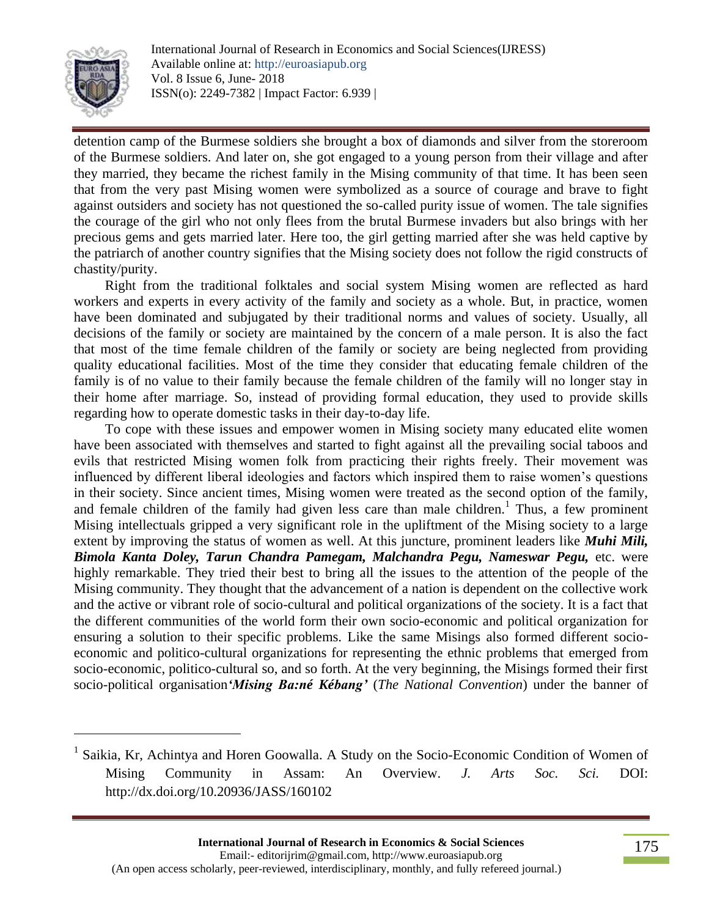

l

detention camp of the Burmese soldiers she brought a box of diamonds and silver from the storeroom of the Burmese soldiers. And later on, she got engaged to a young person from their village and after they married, they became the richest family in the Mising community of that time. It has been seen that from the very past Mising women were symbolized as a source of courage and brave to fight against outsiders and society has not questioned the so-called purity issue of women. The tale signifies the courage of the girl who not only flees from the brutal Burmese invaders but also brings with her precious gems and gets married later. Here too, the girl getting married after she was held captive by the patriarch of another country signifies that the Mising society does not follow the rigid constructs of chastity/purity.

 Right from the traditional folktales and social system Mising women are reflected as hard workers and experts in every activity of the family and society as a whole. But, in practice, women have been dominated and subjugated by their traditional norms and values of society. Usually, all decisions of the family or society are maintained by the concern of a male person. It is also the fact that most of the time female children of the family or society are being neglected from providing quality educational facilities. Most of the time they consider that educating female children of the family is of no value to their family because the female children of the family will no longer stay in their home after marriage. So, instead of providing formal education, they used to provide skills regarding how to operate domestic tasks in their day-to-day life.

 To cope with these issues and empower women in Mising society many educated elite women have been associated with themselves and started to fight against all the prevailing social taboos and evils that restricted Mising women folk from practicing their rights freely. Their movement was influenced by different liberal ideologies and factors which inspired them to raise women's questions in their society. Since ancient times, Mising women were treated as the second option of the family, and female children of the family had given less care than male children.<sup>1</sup> Thus, a few prominent Mising intellectuals gripped a very significant role in the upliftment of the Mising society to a large extent by improving the status of women as well. At this juncture, prominent leaders like *Muhi Mili, Bimola Kanta Doley, Tarun Chandra Pamegam, Malchandra Pegu, Nameswar Pegu,* etc. were highly remarkable. They tried their best to bring all the issues to the attention of the people of the Mising community. They thought that the advancement of a nation is dependent on the collective work and the active or vibrant role of socio-cultural and political organizations of the society. It is a fact that the different communities of the world form their own socio-economic and political organization for ensuring a solution to their specific problems. Like the same Misings also formed different socioeconomic and politico-cultural organizations for representing the ethnic problems that emerged from socio-economic, politico-cultural so, and so forth. At the very beginning, the Misings formed their first socio-political organisation*'Mising Ba:né Kébang'* (*The National Convention*) under the banner of

<sup>&</sup>lt;sup>1</sup> Saikia, Kr, Achintya and Horen Goowalla. A Study on the Socio-Economic Condition of Women of Mising Community in Assam: An Overview. *J. Arts Soc. Sci.* DOI: http://dx.doi.org/10.20936/JASS/160102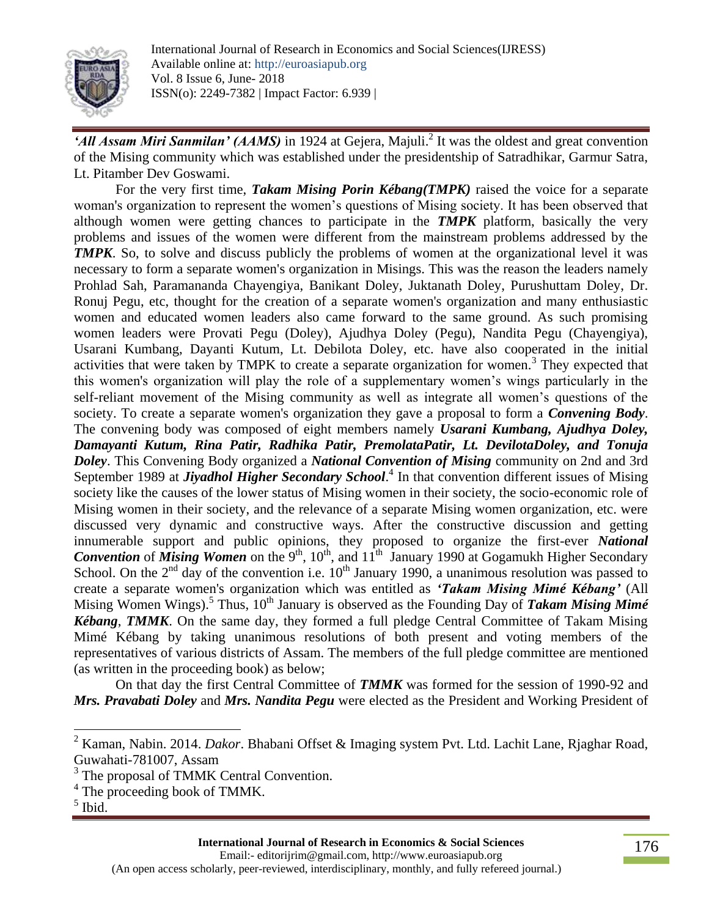

'All Assam Miri Sanmilan' (AAMS) in 1924 at Gejera, Majuli.<sup>2</sup> It was the oldest and great convention of the Mising community which was established under the presidentship of Satradhikar, Garmur Satra, Lt. Pitamber Dev Goswami.

For the very first time, *Takam Mising Porin Kébang(TMPK)* raised the voice for a separate woman's organization to represent the women's questions of Mising society. It has been observed that although women were getting chances to participate in the *TMPK* platform, basically the very problems and issues of the women were different from the mainstream problems addressed by the *TMPK*. So, to solve and discuss publicly the problems of women at the organizational level it was necessary to form a separate women's organization in Misings. This was the reason the leaders namely Prohlad Sah, Paramananda Chayengiya, Banikant Doley, Juktanath Doley, Purushuttam Doley, Dr. Ronuj Pegu, etc, thought for the creation of a separate women's organization and many enthusiastic women and educated women leaders also came forward to the same ground. As such promising women leaders were Provati Pegu (Doley), Ajudhya Doley (Pegu), Nandita Pegu (Chayengiya), Usarani Kumbang, Dayanti Kutum, Lt. Debilota Doley, etc. have also cooperated in the initial activities that were taken by TMPK to create a separate organization for women.<sup>3</sup> They expected that this women's organization will play the role of a supplementary women's wings particularly in the self-reliant movement of the Mising community as well as integrate all women's questions of the society. To create a separate women's organization they gave a proposal to form a *Convening Body*. The convening body was composed of eight members namely *Usarani Kumbang, Ajudhya Doley, Damayanti Kutum, Rina Patir, Radhika Patir, PremolataPatir, Lt. DevilotaDoley, and Tonuja Doley*. This Convening Body organized a *National Convention of Mising* community on 2nd and 3rd September 1989 at *Jiyadhol Higher Secondary School*. 4 In that convention different issues of Mising society like the causes of the lower status of Mising women in their society, the socio-economic role of Mising women in their society, and the relevance of a separate Mising women organization, etc. were discussed very dynamic and constructive ways. After the constructive discussion and getting innumerable support and public opinions, they proposed to organize the first-ever *National*  **Convention** of *Mising Women* on the 9<sup>th</sup>, 10<sup>th</sup>, and  $11<sup>th</sup>$  January 1990 at Gogamukh Higher Secondary School. On the  $2<sup>nd</sup>$  day of the convention i.e.  $10<sup>th</sup>$  January 1990, a unanimous resolution was passed to create a separate women's organization which was entitled as *'Takam Mising Mimé Kébang'* (All Mising Women Wings).<sup>5</sup> Thus, 10<sup>th</sup> January is observed as the Founding Day of *Takam Mising Mimé Kébang*, *TMMK*. On the same day, they formed a full pledge Central Committee of Takam Mising Mimé Kébang by taking unanimous resolutions of both present and voting members of the representatives of various districts of Assam. The members of the full pledge committee are mentioned (as written in the proceeding book) as below;

On that day the first Central Committee of *TMMK* was formed for the session of 1990-92 and *Mrs. Pravabati Doley* and *Mrs. Nandita Pegu* were elected as the President and Working President of

l

<sup>2</sup> Kaman, Nabin. 2014. *Dakor*. Bhabani Offset & Imaging system Pvt. Ltd. Lachit Lane, Rjaghar Road, Guwahati-781007, Assam

<sup>&</sup>lt;sup>3</sup> The proposal of TMMK Central Convention.

<sup>&</sup>lt;sup>4</sup> The proceeding book of TMMK.

<sup>5</sup> Ibid.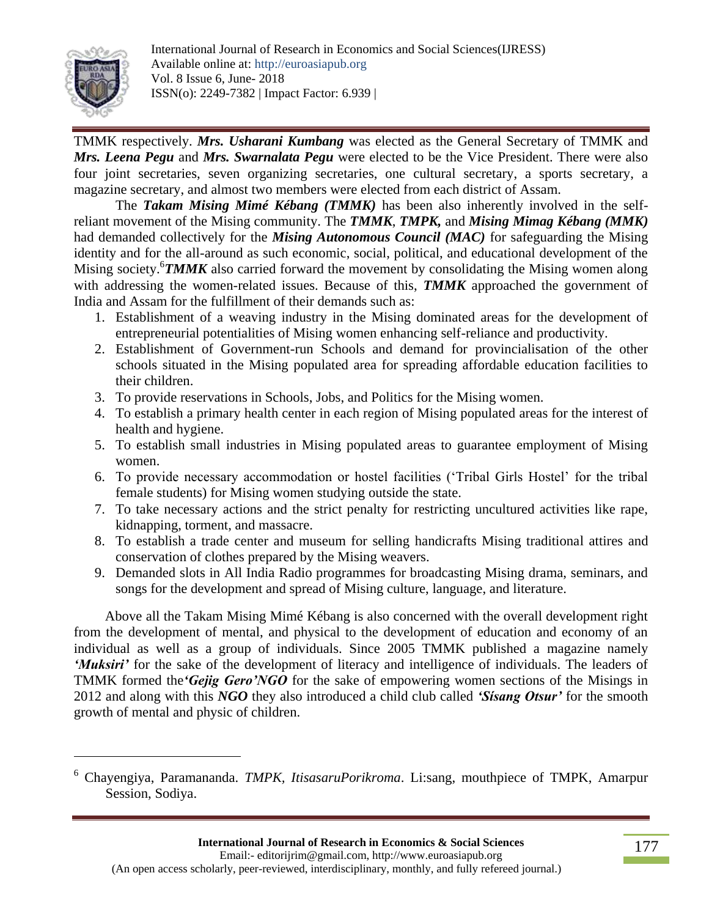

l

TMMK respectively. *Mrs. Usharani Kumbang* was elected as the General Secretary of TMMK and *Mrs. Leena Pegu* and *Mrs. Swarnalata Pegu* were elected to be the Vice President. There were also four joint secretaries, seven organizing secretaries, one cultural secretary, a sports secretary, a magazine secretary, and almost two members were elected from each district of Assam.

The *Takam Mising Mimé Kébang (TMMK)* has been also inherently involved in the selfreliant movement of the Mising community. The *TMMK*, *TMPK,* and *Mising Mimag Kébang (MMK)* had demanded collectively for the *Mising Autonomous Council (MAC)* for safeguarding the Mising identity and for the all-around as such economic, social, political, and educational development of the Mising society.<sup>6</sup>TMMK also carried forward the movement by consolidating the Mising women along with addressing the women-related issues. Because of this, **TMMK** approached the government of India and Assam for the fulfillment of their demands such as:

- 1. Establishment of a weaving industry in the Mising dominated areas for the development of entrepreneurial potentialities of Mising women enhancing self-reliance and productivity.
- 2. Establishment of Government-run Schools and demand for provincialisation of the other schools situated in the Mising populated area for spreading affordable education facilities to their children.
- 3. To provide reservations in Schools, Jobs, and Politics for the Mising women.
- 4. To establish a primary health center in each region of Mising populated areas for the interest of health and hygiene.
- 5. To establish small industries in Mising populated areas to guarantee employment of Mising women.
- 6. To provide necessary accommodation or hostel facilities ('Tribal Girls Hostel' for the tribal female students) for Mising women studying outside the state.
- 7. To take necessary actions and the strict penalty for restricting uncultured activities like rape, kidnapping, torment, and massacre.
- 8. To establish a trade center and museum for selling handicrafts Mising traditional attires and conservation of clothes prepared by the Mising weavers.
- 9. Demanded slots in All India Radio programmes for broadcasting Mising drama, seminars, and songs for the development and spread of Mising culture, language, and literature.

 Above all the Takam Mising Mimé Kébang is also concerned with the overall development right from the development of mental, and physical to the development of education and economy of an individual as well as a group of individuals. Since 2005 TMMK published a magazine namely *'Muksiri'* for the sake of the development of literacy and intelligence of individuals. The leaders of TMMK formed the*'Gejig Gero'NGO* for the sake of empowering women sections of the Misings in 2012 and along with this *NGO* they also introduced a child club called *'Sísang Otsur'* for the smooth growth of mental and physic of children.

<sup>6</sup> Chayengiya, Paramananda. *TMPK, ItisasaruPorikroma*. Li:sang, mouthpiece of TMPK, Amarpur Session, Sodiya.